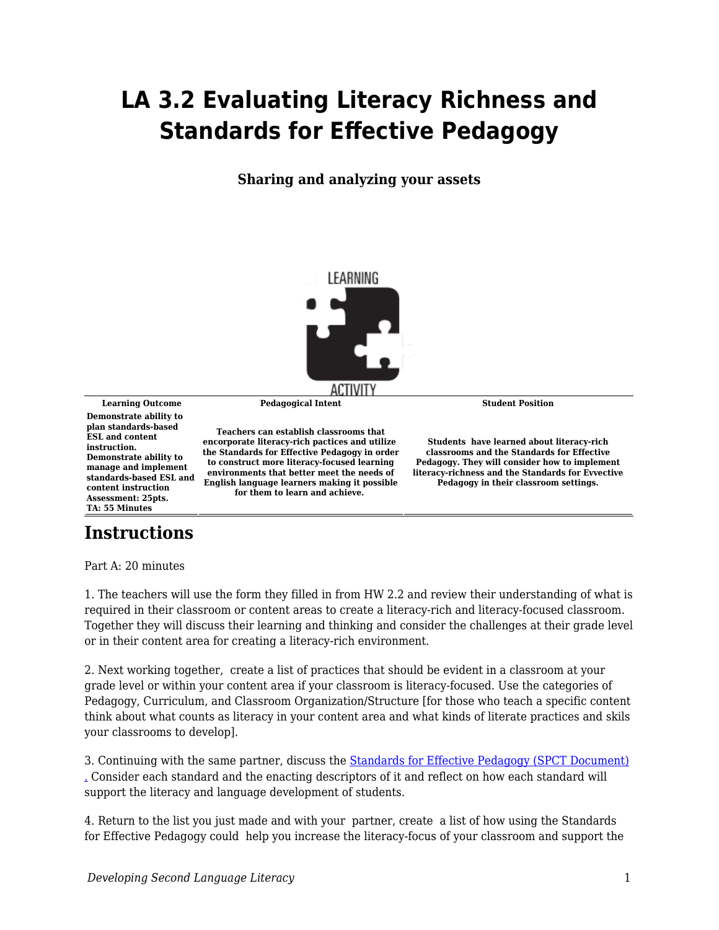## **LA 3.2 Evaluating Literacy Richness and Standards for Effective Pedagogy**

**Sharing and analyzing your assets**



**Learning Outcome Pedagogical Intent Student Position Demonstrate ability to plan standards-based ESL and content instruction. Demonstrate ability to manage and implement standards-based ESL and content instruction Assessment: 25pts. TA: 55 Minutes**

**Teachers can establish classrooms that encorporate literacy-rich pactices and utilize the Standards for Effective Pedagogy in order to construct more literacy-focused learning environments that better meet the needs of English language learners making it possible for them to learn and achieve.** 

**Students have learned about literacy-rich classrooms and the Standards for Effective Pedagogy. They will consider how to implement literacy-richness and the Standards for Evvective Pedagogy in their classroom settings.**

## **Instructions**

Part A: 20 minutes

1. The teachers will use the form they filled in from HW 2.2 and review their understanding of what is required in their classroom or content areas to create a literacy-rich and literacy-focused classroom. Together they will discuss their learning and thinking and consider the challenges at their grade level or in their content area for creating a literacy-rich environment.

2. Next working together, create a list of practices that should be evident in a classroom at your grade level or within your content area if your classroom is literacy-focused. Use the categories of Pedagogy, Curriculum, and Classroom Organization/Structure [for those who teach a specific content think about what counts as literacy in your content area and what kinds of literate practices and skils your classrooms to develop].

3. Continuing with the same partner, discuss the [Standards for Effective Pedagogy \(SPCT Document\)](https://byu.box.com/s/ek0yrxlmi5hj3a5qeudcxkugkzwb25oq) [.](https://byu.app.box.com/services/box_for_office_online/4881/643927633624/428fa1.bb5fe40e26ef84c9f51c024a6e11b9104c07917952cf4699953e9c8ddb208360?node_type=file) Consider each standard and the enacting descriptors of it and reflect on how each standard will support the literacy and language development of students.

4. Return to the list you just made and with your partner, create a list of how using the Standards for Effective Pedagogy could help you increase the literacy-focus of your classroom and support the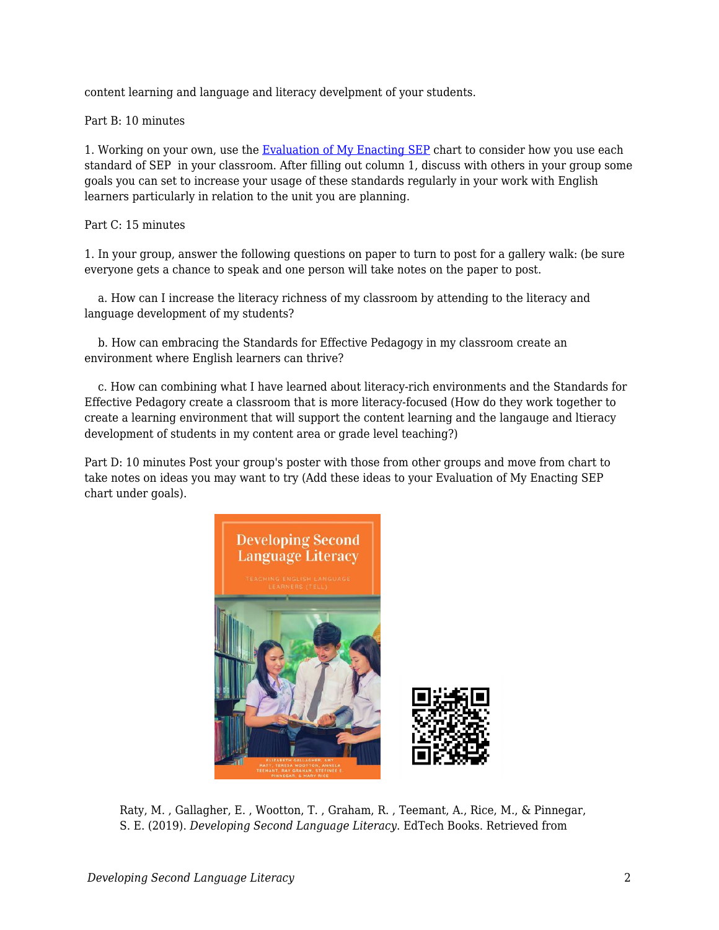content learning and language and literacy develpment of your students.

Part B: 10 minutes

1. Working on your own, use the [Evaluation of My Enacting SEP](https://byu.box.com/s/8aa4e5ac7t70ohvwkal0yilfwerh5qn7) chart to consider how you use each standard of SEP in your classroom. After filling out column 1, discuss with others in your group some goals you can set to increase your usage of these standards regularly in your work with English learners particularly in relation to the unit you are planning.

## Part C: 15 minutes

1. In your group, answer the following questions on paper to turn to post for a gallery walk: (be sure everyone gets a chance to speak and one person will take notes on the paper to post.

 a. How can I increase the literacy richness of my classroom by attending to the literacy and language development of my students?

 b. How can embracing the Standards for Effective Pedagogy in my classroom create an environment where English learners can thrive?

 c. How can combining what I have learned about literacy-rich environments and the Standards for Effective Pedagory create a classroom that is more literacy-focused (How do they work together to create a learning environment that will support the content learning and the langauge and ltieracy development of students in my content area or grade level teaching?)

Part D: 10 minutes Post your group's poster with those from other groups and move from chart to take notes on ideas you may want to try (Add these ideas to your Evaluation of My Enacting SEP chart under goals).



Raty, M. , Gallagher, E. , Wootton, T. , Graham, R. , Teemant, A., Rice, M., & Pinnegar, S. E. (2019). *Developing Second Language Literacy*. EdTech Books. Retrieved from